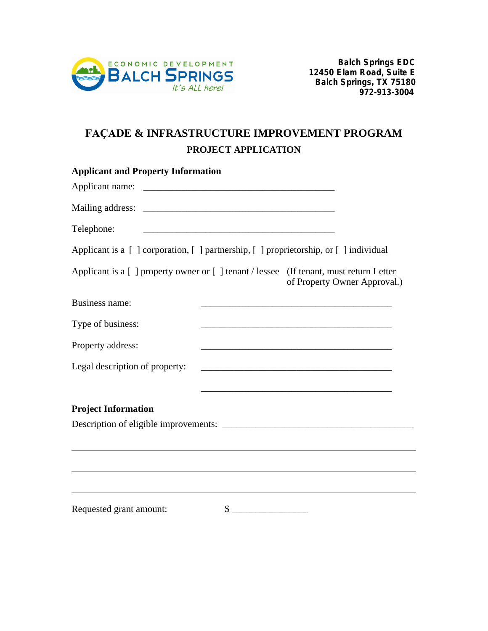

# **FAÇADE & INFRASTRUCTURE IMPROVEMENT PROGRAM PROJECT APPLICATION**

| <b>Applicant and Property Information</b>                                               |                                                                                                                       |
|-----------------------------------------------------------------------------------------|-----------------------------------------------------------------------------------------------------------------------|
|                                                                                         |                                                                                                                       |
|                                                                                         |                                                                                                                       |
| Telephone:<br><u> 1989 - Johann Barbara, martxa al III-lea (h. 1989).</u>               |                                                                                                                       |
| Applicant is a [ ] corporation, [ ] partnership, [ ] proprietorship, or [ ] individual  |                                                                                                                       |
| Applicant is a [ ] property owner or [ ] tenant / lessee (If tenant, must return Letter | of Property Owner Approval.)                                                                                          |
| Business name:                                                                          |                                                                                                                       |
| Type of business:                                                                       |                                                                                                                       |
| Property address:                                                                       | <u> 1989 - Johann Barn, mars ann an t-Amhain an t-Amhain an t-Amhain an t-Amhain an t-Amhain an t-Amhain an t-Amh</u> |
| Legal description of property:                                                          |                                                                                                                       |
| <b>Project Information</b>                                                              |                                                                                                                       |
|                                                                                         |                                                                                                                       |
|                                                                                         |                                                                                                                       |
|                                                                                         |                                                                                                                       |
| Requested grant amount:<br>\$                                                           |                                                                                                                       |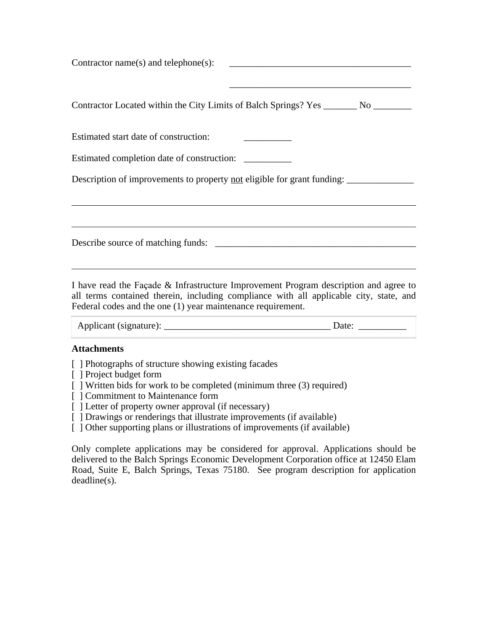Contractor name(s) and telephone(s): \_\_\_\_\_\_\_\_\_\_\_\_\_\_\_\_\_\_\_\_\_\_\_\_\_\_\_\_\_\_\_\_\_\_\_\_\_\_ Contractor Located within the City Limits of Balch Springs? Yes \_\_\_\_\_\_\_ No \_\_\_\_\_\_\_\_ Estimated start date of construction: Estimated completion date of construction: Description of improvements to property <u>not</u> eligible for grant funding: \_\_\_\_\_\_\_\_\_\_\_\_\_ Describe source of matching funds: \_\_\_\_\_\_\_\_\_\_\_\_\_\_\_\_\_\_\_\_\_\_\_\_\_\_\_\_\_\_\_\_\_\_\_\_\_\_\_\_\_\_

I have read the Façade & Infrastructure Improvement Program description and agree to all terms contained therein, including compliance with all applicable city, state, and Federal codes and the one (1) year maintenance requirement.

| Applicant (signature): |  |  |
|------------------------|--|--|
|------------------------|--|--|

#### **Attachments**

- [ ] Photographs of structure showing existing facades
- [ ] Project budget form
- [ ] Written bids for work to be completed (minimum three (3) required)
- [ ] Commitment to Maintenance form
- [ ] Letter of property owner approval (if necessary)
- [ ] Drawings or renderings that illustrate improvements (if available)
- [ ] Other supporting plans or illustrations of improvements (if available)

Only complete applications may be considered for approval. Applications should be delivered to the Balch Springs Economic Development Corporation office at 12450 Elam Road, Suite E, Balch Springs, Texas 75180. See program description for application deadline(s).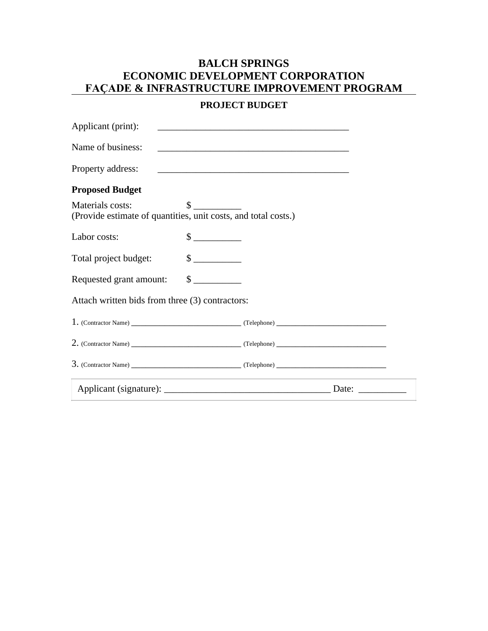## **BALCH SPRINGS ECONOMIC DEVELOPMENT CORPORATION FAÇADE & INFRASTRUCTURE IMPROVEMENT PROGRAM**

## **PROJECT BUDGET**

| Applicant (print):                                                                 |                             |                                                                                                                      |       |
|------------------------------------------------------------------------------------|-----------------------------|----------------------------------------------------------------------------------------------------------------------|-------|
| Name of business:                                                                  |                             | <u> 1989 - Johann John Stone, markin film yn y brenin y brenin y brenin y brenin y brenin y brenin y brenin y br</u> |       |
| Property address:                                                                  |                             |                                                                                                                      |       |
| <b>Proposed Budget</b>                                                             |                             |                                                                                                                      |       |
| Materials costs:<br>(Provide estimate of quantities, unit costs, and total costs.) | $\sim$                      |                                                                                                                      |       |
| Labor costs:                                                                       | $\frac{\text{S}}{\text{S}}$ |                                                                                                                      |       |
| Total project budget:                                                              | $\sim$                      |                                                                                                                      |       |
| Requested grant amount:                                                            | $\frac{\text{S}}{\text{S}}$ |                                                                                                                      |       |
| Attach written bids from three (3) contractors:                                    |                             |                                                                                                                      |       |
|                                                                                    |                             |                                                                                                                      |       |
|                                                                                    |                             |                                                                                                                      |       |
|                                                                                    |                             |                                                                                                                      |       |
|                                                                                    |                             |                                                                                                                      | Date: |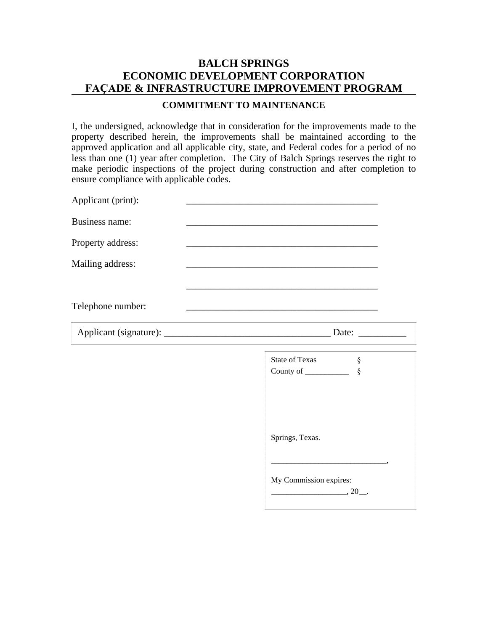## **BALCH SPRINGS ECONOMIC DEVELOPMENT CORPORATION FAÇADE & INFRASTRUCTURE IMPROVEMENT PROGRAM**

#### **COMMITMENT TO MAINTENANCE**

I, the undersigned, acknowledge that in consideration for the improvements made to the property described herein, the improvements shall be maintained according to the approved application and all applicable city, state, and Federal codes for a period of no less than one (1) year after completion. The City of Balch Springs reserves the right to make periodic inspections of the project during construction and after completion to ensure compliance with applicable codes.

| Applicant (print):    |                                                                                                                                                                            |
|-----------------------|----------------------------------------------------------------------------------------------------------------------------------------------------------------------------|
| <b>Business name:</b> | <u> 1989 - Johann John Stoff, deutscher Stoffen und der Stoffen und der Stoffen und der Stoffen und der Stoffen</u>                                                        |
| Property address:     |                                                                                                                                                                            |
| Mailing address:      |                                                                                                                                                                            |
|                       | <u> 1989 - Johann Stoff, deutscher Stoff, der Stoff, der Stoff, der Stoff, der Stoff, der Stoff, der Stoff, der S</u>                                                      |
| Telephone number:     |                                                                                                                                                                            |
|                       |                                                                                                                                                                            |
|                       | <b>State of Texas</b><br>ş<br>County of $\_\_\_\_\_\_\_\_\_\_\_\_$<br>$\S$                                                                                                 |
|                       | Springs, Texas.                                                                                                                                                            |
|                       | <u> 1989 - Johann Barbara, margaret eta idazlea (h. 1989).</u><br>My Commission expires:<br>$\overline{\phantom{a} \phantom{a}}$ , 20 $\overline{\phantom{a} \phantom{a}}$ |